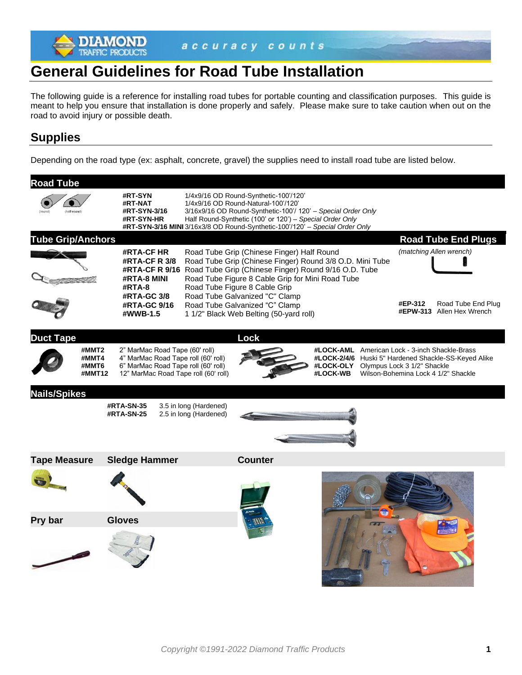

# **General Guidelines for Road Tube Installation**

The following guide is a reference for installing road tubes for portable counting and classification purposes. This guide is meant to help you ensure that installation is done properly and safely. Please make sure to take caution when out on the road to avoid injury or possible death.

## **Supplies**

Depending on the road type (ex: asphalt, concrete, gravel) the supplies need to install road tube are listed below.

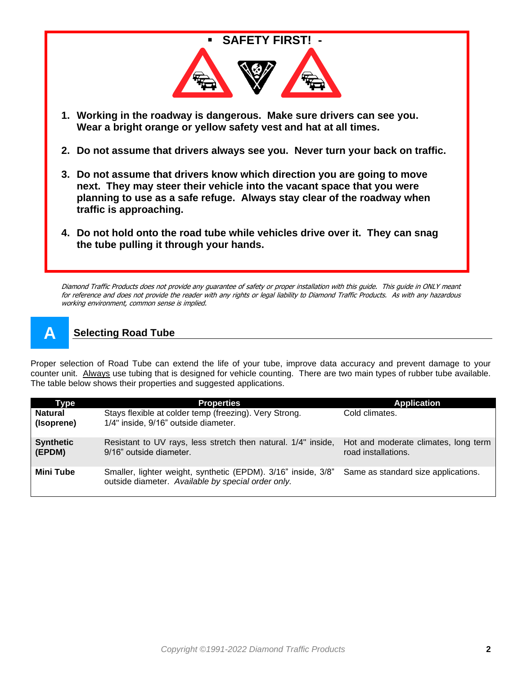

- **1. Working in the roadway is dangerous. Make sure drivers can see you. Wear a bright orange or yellow safety vest and hat at all times.**
- **2. Do not assume that drivers always see you. Never turn your back on traffic.**
- **3. Do not assume that drivers know which direction you are going to move next. They may steer their vehicle into the vacant space that you were planning to use as a safe refuge. Always stay clear of the roadway when traffic is approaching.**
- **4. Do not hold onto the road tube while vehicles drive over it. They can snag the tube pulling it through your hands.**

Diamond Traffic Products does not provide any guarantee of safety or proper installation with this guide. This guide in ONLY meant for reference and does not provide the reader with any rights or legal liability to Diamond Traffic Products. As with any hazardous working environment, common sense is implied.



## **A Selecting Road Tube**

Proper selection of Road Tube can extend the life of your tube, improve data accuracy and prevent damage to your counter unit. Always use tubing that is designed for vehicle counting. There are two main types of rubber tube available. The table below shows their properties and suggested applications.

| <b>Type</b>                  | <b>Properties</b>                                                                                                   | <b>Application</b>                                          |
|------------------------------|---------------------------------------------------------------------------------------------------------------------|-------------------------------------------------------------|
| <b>Natural</b><br>(Isoprene) | Stays flexible at colder temp (freezing). Very Strong.<br>1/4" inside, 9/16" outside diameter.                      | Cold climates.                                              |
| <b>Synthetic</b><br>(EPDM)   | Resistant to UV rays, less stretch then natural. 1/4" inside,<br>9/16" outside diameter.                            | Hot and moderate climates, long term<br>road installations. |
| Mini Tube                    | Smaller, lighter weight, synthetic (EPDM). 3/16" inside, 3/8"<br>outside diameter. Available by special order only. | Same as standard size applications.                         |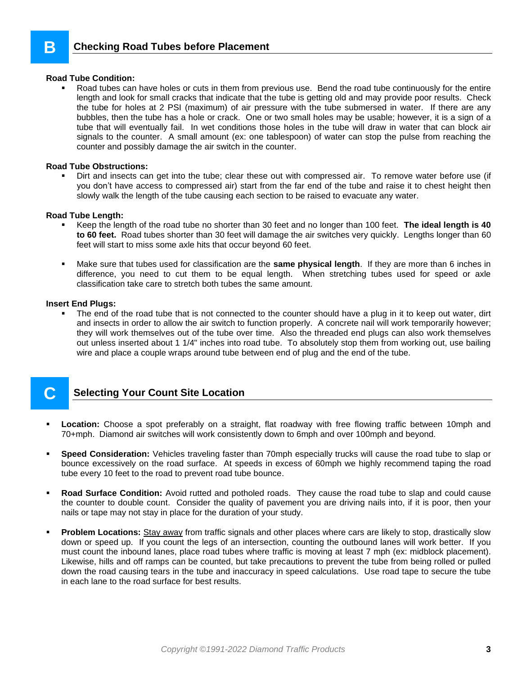#### **Road Tube Condition:**

Road tubes can have holes or cuts in them from previous use. Bend the road tube continuously for the entire length and look for small cracks that indicate that the tube is getting old and may provide poor results. Check the tube for holes at 2 PSI (maximum) of air pressure with the tube submersed in water. If there are any bubbles, then the tube has a hole or crack. One or two small holes may be usable; however, it is a sign of a tube that will eventually fail. In wet conditions those holes in the tube will draw in water that can block air signals to the counter. A small amount (ex: one tablespoon) of water can stop the pulse from reaching the counter and possibly damage the air switch in the counter.

#### **Road Tube Obstructions:**

Dirt and insects can get into the tube; clear these out with compressed air. To remove water before use (if you don't have access to compressed air) start from the far end of the tube and raise it to chest height then slowly walk the length of the tube causing each section to be raised to evacuate any water.

#### **Road Tube Length:**

- Keep the length of the road tube no shorter than 30 feet and no longer than 100 feet. **The ideal length is 40 to 60 feet.** Road tubes shorter than 30 feet will damage the air switches very quickly. Lengths longer than 60 feet will start to miss some axle hits that occur beyond 60 feet.
- Make sure that tubes used for classification are the **same physical length**. If they are more than 6 inches in difference, you need to cut them to be equal length. When stretching tubes used for speed or axle classification take care to stretch both tubes the same amount.

#### **Insert End Plugs:**

The end of the road tube that is not connected to the counter should have a plug in it to keep out water, dirt and insects in order to allow the air switch to function properly. A concrete nail will work temporarily however; they will work themselves out of the tube over time. Also the threaded end plugs can also work themselves out unless inserted about 1 1/4" inches into road tube. To absolutely stop them from working out, use bailing wire and place a couple wraps around tube between end of plug and the end of the tube.

#### **C** Selecting Your Count Site Location

- **Location:** Choose a spot preferably on a straight, flat roadway with free flowing traffic between 10mph and 70+mph. Diamond air switches will work consistently down to 6mph and over 100mph and beyond.
- **Speed Consideration:** Vehicles traveling faster than 70mph especially trucks will cause the road tube to slap or bounce excessively on the road surface. At speeds in excess of 60mph we highly recommend taping the road tube every 10 feet to the road to prevent road tube bounce.
- **Road Surface Condition:** Avoid rutted and potholed roads. They cause the road tube to slap and could cause the counter to double count. Consider the quality of pavement you are driving nails into, if it is poor, then your nails or tape may not stay in place for the duration of your study.
- **Problem Locations:** Stay away from traffic signals and other places where cars are likely to stop, drastically slow down or speed up. If you count the legs of an intersection, counting the outbound lanes will work better. If you must count the inbound lanes, place road tubes where traffic is moving at least 7 mph (ex: midblock placement). Likewise, hills and off ramps can be counted, but take precautions to prevent the tube from being rolled or pulled down the road causing tears in the tube and inaccuracy in speed calculations. Use road tape to secure the tube in each lane to the road surface for best results.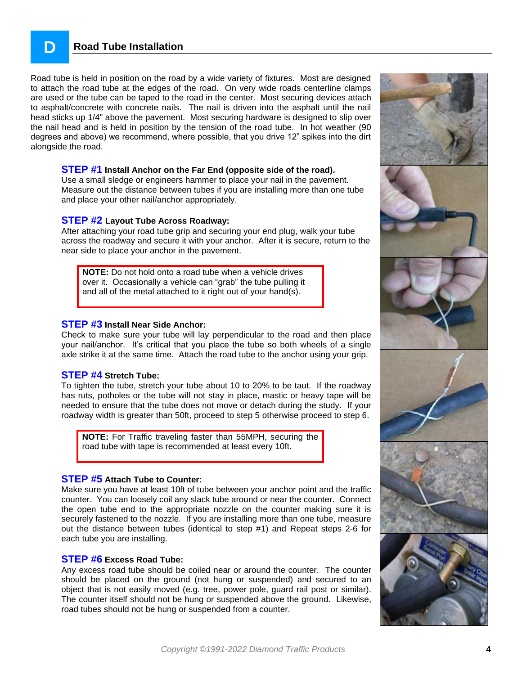#### **D Road Tube Installation**

Road tube is held in position on the road by a wide variety of fixtures. Most are designed to attach the road tube at the edges of the road. On very wide roads centerline clamps are used or the tube can be taped to the road in the center. Most securing devices attach to asphalt/concrete with concrete nails. The nail is driven into the asphalt until the nail head sticks up 1/4" above the pavement. Most securing hardware is designed to slip over the nail head and is held in position by the tension of the road tube. In hot weather (90 degrees and above) we recommend, where possible, that you drive 12" spikes into the dirt alongside the road.

#### **STEP #1 Install Anchor on the Far End (opposite side of the road).**

Use a small sledge or engineers hammer to place your nail in the pavement. Measure out the distance between tubes if you are installing more than one tube and place your other nail/anchor appropriately.

#### **STEP #2 Layout Tube Across Roadway:**

After attaching your road tube grip and securing your end plug, walk your tube across the roadway and secure it with your anchor. After it is secure, return to the near side to place your anchor in the pavement.

**NOTE:** Do not hold onto a road tube when a vehicle drives over it. Occasionally a vehicle can "grab" the tube pulling it and all of the metal attached to it right out of your hand(s).

#### **STEP #3 Install Near Side Anchor:**

Check to make sure your tube will lay perpendicular to the road and then place your nail/anchor. It's critical that you place the tube so both wheels of a single axle strike it at the same time. Attach the road tube to the anchor using your grip.

#### **STEP #4 Stretch Tube:**

To tighten the tube, stretch your tube about 10 to 20% to be taut. If the roadway has ruts, potholes or the tube will not stay in place, mastic or heavy tape will be needed to ensure that the tube does not move or detach during the study. If your roadway width is greater than 50ft, proceed to step 5 otherwise proceed to step 6.

**NOTE:** For Traffic traveling faster than 55MPH, securing the road tube with tape is recommended at least every 10ft.

#### **STEP #5 Attach Tube to Counter:**

Make sure you have at least 10ft of tube between your anchor point and the traffic counter. You can loosely coil any slack tube around or near the counter. Connect the open tube end to the appropriate nozzle on the counter making sure it is securely fastened to the nozzle. If you are installing more than one tube, measure out the distance between tubes (identical to step #1) and Repeat steps 2-6 for each tube you are installing.

#### **STEP #6 Excess Road Tube:**

Any excess road tube should be coiled near or around the counter. The counter should be placed on the ground (not hung or suspended) and secured to an object that is not easily moved (e.g. tree, power pole, guard rail post or similar). The counter itself should not be hung or suspended above the ground. Likewise, road tubes should not be hung or suspended from a counter.

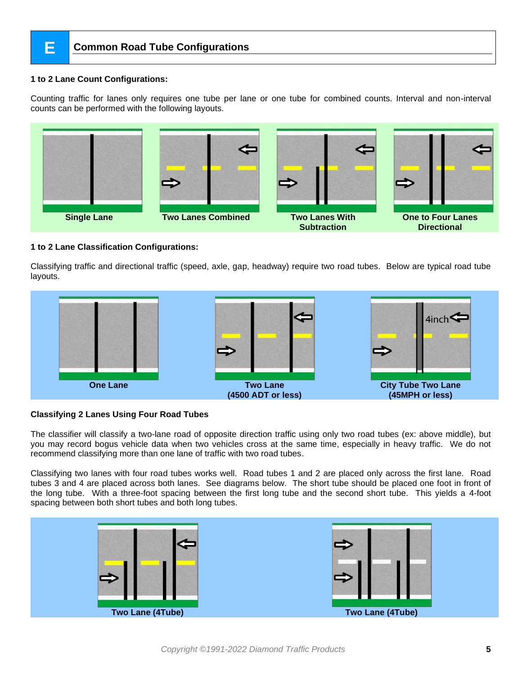### **E** Common Road Tube Configurations

#### **1 to 2 Lane Count Configurations:**

Counting traffic for lanes only requires one tube per lane or one tube for combined counts. Interval and non-interval counts can be performed with the following layouts.



#### **1 to 2 Lane Classification Configurations:**

Classifying traffic and directional traffic (speed, axle, gap, headway) require two road tubes. Below are typical road tube layouts.



#### **Classifying 2 Lanes Using Four Road Tubes**

The classifier will classify a two-lane road of opposite direction traffic using only two road tubes (ex: above middle), but you may record bogus vehicle data when two vehicles cross at the same time, especially in heavy traffic. We do not recommend classifying more than one lane of traffic with two road tubes.

Classifying two lanes with four road tubes works well. Road tubes 1 and 2 are placed only across the first lane. Road tubes 3 and 4 are placed across both lanes. See diagrams below. The short tube should be placed one foot in front of the long tube. With a three-foot spacing between the first long tube and the second short tube. This yields a 4-foot spacing between both short tubes and both long tubes.

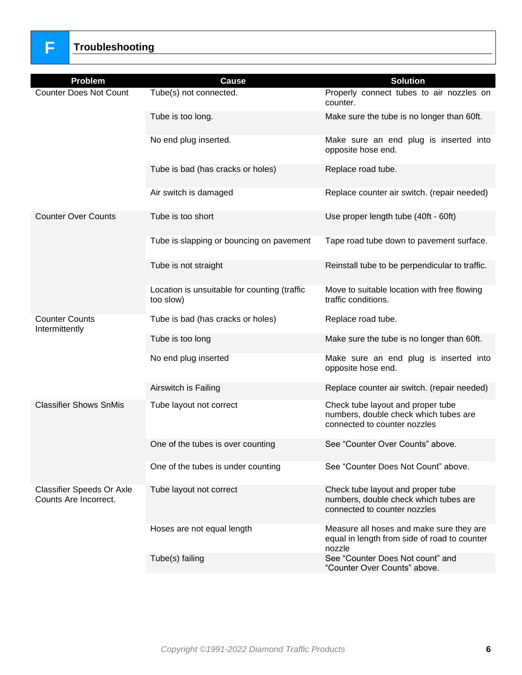| <b>Problem</b>                                            | <b>Cause</b>                                              | <b>Solution</b>                                                                                            |
|-----------------------------------------------------------|-----------------------------------------------------------|------------------------------------------------------------------------------------------------------------|
| <b>Counter Does Not Count</b>                             | Tube(s) not connected.                                    | Properly connect tubes to air nozzles on<br>counter.                                                       |
|                                                           | Tube is too long.                                         | Make sure the tube is no longer than 60ft.                                                                 |
|                                                           | No end plug inserted.                                     | Make sure an end plug is inserted into<br>opposite hose end.                                               |
|                                                           | Tube is bad (has cracks or holes)                         | Replace road tube.                                                                                         |
|                                                           | Air switch is damaged                                     | Replace counter air switch. (repair needed)                                                                |
| <b>Counter Over Counts</b>                                | Tube is too short                                         | Use proper length tube (40ft - 60ft)                                                                       |
|                                                           | Tube is slapping or bouncing on pavement                  | Tape road tube down to pavement surface.                                                                   |
|                                                           | Tube is not straight                                      | Reinstall tube to be perpendicular to traffic.                                                             |
|                                                           | Location is unsuitable for counting (traffic<br>too slow) | Move to suitable location with free flowing<br>traffic conditions.                                         |
| <b>Counter Counts</b><br>Intermittently                   | Tube is bad (has cracks or holes)                         | Replace road tube.                                                                                         |
|                                                           | Tube is too long                                          | Make sure the tube is no longer than 60ft.                                                                 |
|                                                           | No end plug inserted                                      | Make sure an end plug is inserted into<br>opposite hose end.                                               |
|                                                           | Airswitch is Failing                                      | Replace counter air switch. (repair needed)                                                                |
| <b>Classifier Shows SnMis</b>                             | Tube layout not correct                                   | Check tube layout and proper tube<br>numbers, double check which tubes are<br>connected to counter nozzles |
|                                                           | One of the tubes is over counting                         | See "Counter Over Counts" above.                                                                           |
|                                                           | One of the tubes is under counting                        | See "Counter Does Not Count" above.                                                                        |
| <b>Classifier Speeds Or Axle</b><br>Counts Are Incorrect. | Tube layout not correct                                   | Check tube layout and proper tube<br>numbers, double check which tubes are<br>connected to counter nozzles |
|                                                           | Hoses are not equal length                                | Measure all hoses and make sure they are<br>equal in length from side of road to counter<br>nozzle         |
|                                                           | Tube(s) failing                                           | See "Counter Does Not count" and<br>"Counter Over Counts" above.                                           |